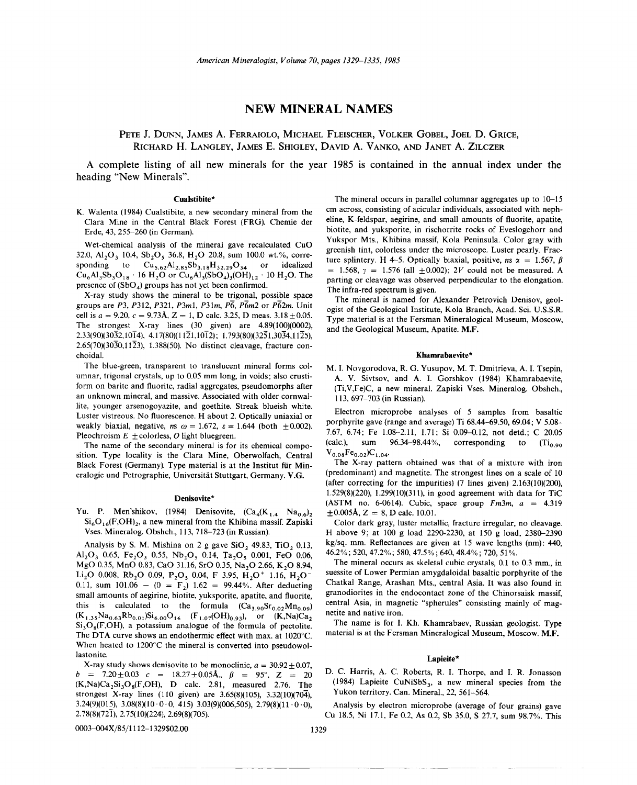# **NEW MINERAL NAMES**

PETE J. DUNN, JAMES A. FERRAIOLO, MICHAEL FLEISCHER, VOLKER GOBEL, JOEL D. GRICE, RICHARD H. LANGLEY, JAMES E. SHIGLEY, DAVID A. VANKO, AND JANET A. ZILCZER

A complete listing of all new minerals for the year 1985 is contained in the annual index under the heading "New Minerals".

## Cualstibite\*

K. Walenta (1984) Cualstibite, a new secondary mineral from the Clara Mine in the Central Black Forest (FRG). Chemie der Erde, 43, 255-260 (in German).

Wet-chemical analysis of the mineral gave recalculated CuO 32.0, Al<sub>2</sub>O<sub>3</sub> 10.4, Sb<sub>2</sub>O<sub>3</sub> 36.8, H<sub>2</sub>O 20.8, sum 100.0 wt.%, corresponding to  $Cu_{5.62}Al_{2.85}Sb_{3.18}H_{32.29}O_{34}$  or idealized  $Cu_6Al_3Sb_3O_{18}$  . 16 H<sub>2</sub>O or Cu<sub>6</sub>Al<sub>3</sub>(SbO<sub>4</sub>)<sub>3</sub>(OH)<sub>12</sub> · 10 H<sub>2</sub>O. The presence of  $(SbO<sub>4</sub>)$  groups has not yet been confirmed.

X-ray study shows the mineral to be trigonal, possible space groups are *P3, P312, P321, P3ml, P31m, P6, P6m2* or *P62m.* Unit cell is  $a = 9.20$ ,  $c = 9.73$ Å,  $Z = 1$ , D calc. 3.25, D meas.  $3.18 \pm 0.05$ . The strongest X-ray lines  $(30 \text{ given})$  are  $4.89(100)(0002)$ ,  $2.33(90)(30\overline{3}2,10\overline{1}4), 4.17(80)(11\overline{2}1,10\overline{1}2); 1.793(80)(32\overline{5}1,30\overline{3}4,11\overline{2}5),$ 2.65(70)(3030,1123), 1.388(50). No distinct cleavage, fracture conchoidal.

The blue-green, transparent to translucent mineral forms columnar, trigonal crystals, up to 0.05 mm long, in voids; also crustiform on barite and fluorite, radial aggregates, pseudomorphs after an unknown mineral, and massive. Associated with older cornwallite, younger arsenogoyazite, and goethite. Streak blueish white. Luster vistreous. No fluorescence. H about 2. Optically uniaxial or weakly biaxial, negative,  $ns \omega = 1.672$ ,  $\epsilon = 1.644$  (both  $\pm 0.002$ ). Pleochroism  $E \pm$ colorless, O light bluegreen.

The name of the secondary mineral is for its chemical composition. Type locality is the Clara Mine, Oberwolfach, Central Black Forest (Germany). Type material is at the Institut für Mineralogie und Petrographie, Universitat Stuttgart, Germany. V.G.

## Denisovite\*

Yu. P. Men'shikov, (1984) Denisovite,  $(Ca_4(K_{1,4} \text{ Na}_{0,6})_2)$  $Si<sub>6</sub>O<sub>16</sub>(F,OH)<sub>2</sub>$ , a new mineral from the Khibina massif. Zapiski Vses. Mineralog. Obshch., 113,718-723 (in Russian).

Analysis by S. M. Mishina on  $2$  g gave SiO, 49.83, TiO, 0.13, Al<sub>2</sub>O<sub>3</sub> 0.65, Fe<sub>2</sub>O<sub>3</sub> 0.55, Nb<sub>2</sub>O<sub>5</sub> 0.14, Ta<sub>2</sub>O<sub>5</sub> 0.001, FeO 0.06, MgO 0.35, MnO 0.83, CaO 31.16, SrO 0.35, Na<sub>2</sub>O 2.66, K<sub>2</sub>O 8.94, Li<sub>2</sub>O 0.008, Rb<sub>2</sub>O 0.09, P<sub>2</sub>O<sub>5</sub> 0.04, F 3.95, H<sub>2</sub>O<sup>+</sup> 1.16, H<sub>2</sub>O<sup>-</sup> 0.11, sum 101.06 -  $(0 = F_2)$  1.62 = 99.44%. After deducting small amounts of aegirine, biotite, yuksporite, apatite, and fluorite, this is calculated to the formula  $(Ca_{3.90}Sr_{0.02}Mn_{0.09})$  $(K_{1.35}Na_{0.63}Rb_{0.01})Si_{6.00}O_{16}$   $(F_{1.07}(OH)_{0.93})$ , or  $(K,Na)Ca_2$  $Si<sub>3</sub>O<sub>8</sub>(F,OH)$ , a potassium analogue of the formula of pectolite. The DTA curve shows an endothermic effect with max. at 1020°C. When heated to 1200°C the mineral is converted into pseudowollastonite.

X-ray study shows denisovite to be monoclinic,  $a = 30.92 \pm 0.07$  $b = 7.20 \pm 0.03$  c = 18.27 $\pm$ 0.05Å.,  $\beta = 95^{\circ}$ , Z = 20  $(K,Na)Ca<sub>2</sub>Si<sub>3</sub>O<sub>8</sub>(F,OH)$ , D calc. 2.81, measured 2.76. The strongest X-ray lines (110 given) are 3.65(8)(105), 3.32(10)(704), 3.24(9)(015), 3.08(8)(10.0.0, 415) 3.03(9)(006,505), 2.79(8)(11.0.0),  $2.78(8)(72\overline{1})$ ,  $2.75(10)(224)$ ,  $2.69(8)(705)$ .

The mineral occurs in parallel columnar aggregates up to  $10-15$ cm across, consisting of acicular individuals, associated with nepheline, K-feldspar, aegirine, and small amounts of fluorite, apatite, biotite, and yuksporite, in rischorrite rocks of Eveslogchorr and Yukspor Mts., Khibina massif, Kola Peninsula. Color gray with greenish tint, colorless under the microscope. Luster pearly. Fracture splintery. H 4–5. Optically biaxial, positive,  $ns \alpha = 1.567$ ,  $\beta$  $= 1.568, \gamma = 1.576$  (all  $\pm 0.002$ ); *2V* could not be measured. A parting or cleavage was observed perpendicular to the elongation. The infra-red spectrum is given.

The mineral is named for Alexander Petrovich Denisov, geologist of the Geological Institute, Kola Branch, Acad. Sci. U.S.S.R. Type material is at the Fersman Mineralogical Museum, Moscow, and the Geological Museum, Apatite. M.F.

#### Khamrabaevite\*

M. I. Novgorodova, R. G. Yusupov, M. T. Dmitrieva, A. I. Tsepin, A. V. Sivtsov, and A. I. Gorshkov (1984) Khamrabaevite, (Ti,V,Fe)C, a new mineral. Zapiski Vses. Mineralog. Obshch., 113,697-703 (in Russian).

Electron microprobe analyses of 5 samples from basaltic porphyrite gave (range and average) Ti 68.44-69.50, 69.04; V 5.08- 7.67, 6.74; Fe 1.08-2.11, 1.71; Si 0.09-0.12, not detd.; C 20.05 (calc.), sum  $96.34-98.44\%$ , corresponding to  $(Ti_{0.90})$  $V_{0.08}Fe_{0.02}C_{1.04}$ 

The X-ray pattern obtained was that of a mixture with iron (predominant) and magnetite. The strongest lines on a scale of 10 (after correcting for the impurities) (7 lines given) 2.163(10)(200), 1.529(8)(220), 1.299(10)(311), in good agreement with data for TiC (ASTM no. 6-0614). Cubic, space group  $Fm3m$ ,  $a = 4.319$  $\pm 0.005$ Å, Z = 8, D calc. 10.01

Color dark gray, luster metallic, fracture irregular, no cleavage. H above 9; at 100 g load 2290-2230, at 150 g load, 2380-2390 kg/sq. mm. Reflectances are given at 15 wave lengths (nm); 440, 46.2%; 520, 47.2%; 580, 47.5%; 640, 48.4%; 720, 51 %.

The mineral occurs as skeletal cubic crystals, 0.1 to 0.3 mm., in suessite of Lower Permian amygdaloidal basaltic porphyrite of the Chatkal Range, Arashan Mts., central Asia. It was also found in granodiorites in the endocontact zone of the Chinorsaisk massif, central Asia, in magnetic "spherules" consisting mainly of magnetite and native iron.

The name is for I. Kh. Khamrabaev, Russian geologist. Type material is at the Fersman Mineralogical Museum, Moscow. M.F.

### Lapieite\*

D. C. Harris, A. C. Roberts, R. I. Thorpe, and I. R. Jonasson (1984) Lapieite CuNiSbS<sub>3</sub>, a new mineral species from the Yukon territory. Can. Mineral., 22, 561-564.

Analysis by electron microprobe (average of four grains) gave Cu 18.5, Ni 17.1, Fe 0.2, As 0.2, Sb 35.0, S 27.7, sum 98.7%. This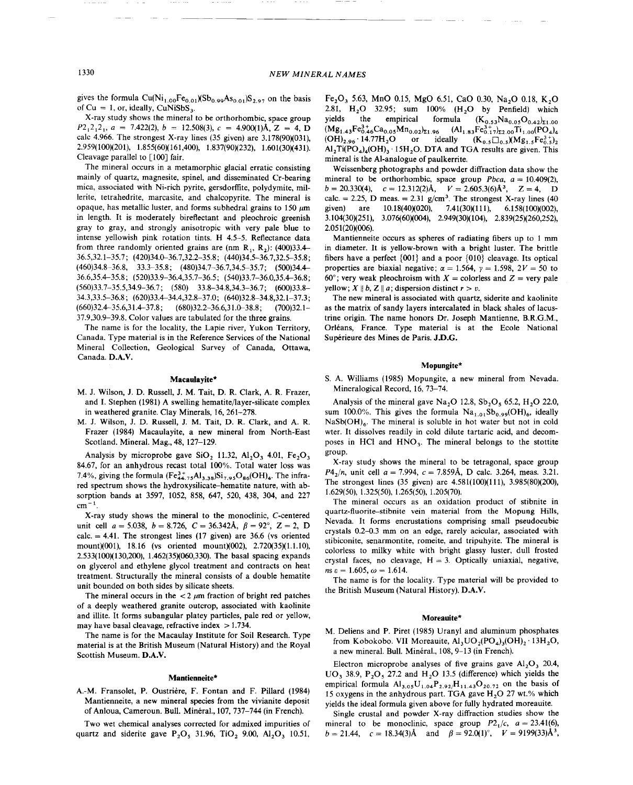gives the formula  $Cu(Ni_{1.00}Fe_{0.01})(Sb_{0.99}As_{0.01})S_{2.97}$  on the basis of  $Cu = 1$ , or, ideally,  $CuNiSbS$ 

X-ray study shows the mineral to be orthorhombic, space group  $P2_12_12_1$ ,  $a = 7.422(2)$ ,  $b = 12.508(3)$ ,  $c = 4.900(1)$ Å,  $Z = 4$ , D calc 4.966. The strongest X-ray lines (35 given) are 3.178(90)(031), 2.959(100)(201), 1.855(60)(161,400), 1.837(90)(232), 1.601(30)(431). Cleavage parallel to [100] fair.

The mineral occurs in a metamorphic glacial erratic consisting mainly of quartz, magnesite, spinel, and disseminated Cr-bearing mica, associated with Ni-rich pyrite, gersdorffite, polydymite, millerite, tetrahedrite, marcasite, and chalcopyrite. The mineral is opaque, has metallic luster, and forms subhedral grains to 150  $\mu$ m in length. It is moderately bireflectant and pleochroic greenish gray to gray, and strongly anisotropic with very pale blue to intense yellowish pink rotation tints. H 4.5-5. Reflectance data from three randomly oriented grains are (nm R<sub>1</sub>, R<sub>2</sub>): (400)33.4-36.5,32.1-35.7; (420)34.0--36.7,32.2-35.8; (440)34.5-36.7,32.5-35.8; (460)34.8-36.8, 33.3-35.8; (480)34.7-36.7,34.5-35.7; (500)34.4- 36.6,35.4- 35.8; (520)33.9-36.4,35.7-36.5; (540)33.7-36.0,35.4-36.8; (560)33.7-35.5,34.9-36.7; (580) 33.8-34.8,34.3-36.7; (600)33.8- 34.3,33.5-36.8; (620)33.4-34.4,32.8-37.0; (640)32.8-34.8,32.1-37.3;  $(660)32.4-35.6,31.4-37.8;$   $(680)32.2-36.6,31.0-38.8;$   $(700)32.1-$ 37.9,30.9-39.8. Color values are tabulated for the three grains.

The name is for the locality, the Lapie river, Yukon Territory, Canada. Type material is in the Reference Services of the National Mineral Collection, Geological Survey of Canada, Ottawa, Canada. D.A.V.

## **Macaulayite\***

- M. J. Wilson, J. D. Russell, J. M. Tait, D. R. Clark, A. R. Frazer, and I. Stephen (1981) A swelling hematite/layer-silicate complex in weathered granite. Clay Minerals, 16,261-278.
- M. J. Wilson, J. D. Russell, J. M. Tait, D. R. Clark, and A. R. Frazer (1984) Macaulayite, a new mineral from North-East Scotland. Mineral. Mag., 48, 127-129.

Analysis by microprobe gave  $SiO<sub>2</sub>$  11.32, Al<sub>2</sub>O<sub>3</sub> 4.01, Fe<sub>2</sub>O<sub>3</sub> 84.67, for an anhydrous recast total 100%. Total water loss was 7.4%, giving the formula  $(Fe^{3+}_{44.75}Al_{3.38})Si_{7.95}O_{86}(OH)_4$ . The infrared spectrum shows the hydroxysilicate-hematite nature, with absorption bands at 3597, 1052, 858, 647, 520, 438, 304, and 227  $cm^{-1}$ .

X-ray study shows the mineral to the monoclinic, C-centered unit cell *a* = 5.038, *b* = 8.726, *C* = 36.342Å,  $\beta$  = 92°, Z = 2, D calc.  $= 4.41$ . The strongest lines (17 given) are 36.6 (vs oriented mount)(OOI), 18.16 (vs oriented mount)(002), 2.720(35)(1.1.10), 2.533(100)(130,200), 1.462(35)(060,330). The basal spacing expands on glycerol and ethylene glycol treatment and contracts on heat treatment. Structurally the mineral consists of a double hematite unit bounded on both sides by silicate sheets.

The mineral occurs in the  $\lt 2 \mu$ m fraction of bright red patches of a deeply weathered granite outcrop, associated with kaolinite and illite. It forms subangular platey particles, pale red or yellow, may have basal cleavage, refractive index  $> 1.734$ .

The name is for the Macaulay Institute for Soil Research. Type material is at the British Museum (Natural History) and the Royal Scottish Museum. D.A.V.

## **Mantienneite\***

A.-M. Fransolet, P. Oustriere, F. Fontan and F. Pillard (1984) Mantienneite, a new mineral species from the vivianite deposit of Anloua, Cameroun. Bull. Mineral., 107, 737-744 (in French).

Two wet chemical analyses corrected for admixed impurities of quartz and siderite gave P<sub>2</sub>O<sub>5</sub> 31.96, TiO<sub>2</sub> 9.00, Al<sub>2</sub>O<sub>3</sub> 10.51,

Fe<sub>2</sub>O<sub>3</sub> 5.63, MnO 0.15, MgO 6.51, CaO 0.30, Na<sub>2</sub>O 0.18, K<sub>2</sub>O 2.81, H<sub>2</sub>O 32.95; sum 100% (H<sub>2</sub>O by Penfield) which yields the empirical formula  $(K_{0.53}Na_{0.05}O_{0.42})_{\Sigma_{1.00}}$  $(Mg_{1.43}Fe_{0.46}^{3.4}Ca_{0.05}Mn_{0.02})_{21.96}$  (Al<sub>1.83</sub>Fe<sub>0.17</sub>)<sub>2.00</sub>Ti<sub>1.00</sub>(PO<sub>4</sub>)<sub>4</sub> (OH)<sub>2.96</sub> 14.77H<sub>3</sub>O or ideally (K<sub>25</sub> $\Box$ <sub>25</sub>/Mg<sub>16</sub> $Fe_{0.2}^{3.4}$ )<sub>2</sub> or ideally  $(K_{0.5}\square_{0.5})(Mg_{1.5}Fe_{0.5}^{3+})_2$  $Al<sub>2</sub>Ti(PO<sub>4</sub>)<sub>4</sub>(OH)<sub>3</sub>·15H<sub>2</sub>O$ . DTA and TGA results are given. This mineral is the AI-analogue of paulkerrite.

Weissenberg photographs and powder diffraction data show the mineral to be orthorhombic, space group  $Pbca$ ,  $a = 10.409(2)$ ,  $b = 20.330(4), \quad c = 12.312(2)$ Å,  $V = 2.605.3(6)$ Å<sup>3</sup>,  $Z = 4, \quad D$ calc. = 2.25, D meas. =  $2.31 \text{ g/cm}^3$ . The strongest X-ray lines (40) given) are 10.18(40)(020), 7.41(30)(111), 6.158(100)(002), 3.104(30)(251), 3.076(60)(004), 2.949(30)(104), 2.839(25)(260,252), 2.051(20)(006).

Mantienneite occurs as spheres of radiating fibers up to I mm in diameter. It is yellow-brown with a bright luster. The brittle fibers have a perfect {001} and a poor {01O} cleavage. Its optical properties are biaxial negative;  $\alpha = 1.564$ ,  $\gamma = 1.598$ ,  $2V = 50$  to 60°; very weak pleochroism with  $X =$  colorless and  $Z =$  very pale yellow;  $X \parallel b$ ,  $Z \parallel a$ ; dispersion distinct  $r > v$ .

The new mineral is associated with quartz, siderite and kaolinite as the matrix of sandy layers intercalated in black shales of lacustrine origin. The name honors Dr. Joseph Mantienne, RR.G.M., Orléans, France. Type material is at the Ecole National Sup6rieure des Mines de Paris. JD.G.

## **Mopungite\***

S. A. Williams (1985) Mopungite, a new mineral from Nevada. Mineralogical Record, 16,73-74.

Analysis of the mineral gave Na<sub>2</sub>O 12.8, Sb<sub>2</sub>O<sub>5</sub> 65.2, H<sub>2</sub>O 22.0, sum 100.0%. This gives the formula  $Na<sub>1.01</sub>Sb<sub>0.99</sub>(OH)<sub>6</sub>$ , ideally  $NaSb(OH)<sub>6</sub>$ . The mineral is soluble in hot water but not in cold wter. It dissolves readily in cold dilute tartaric acid, and decomposes in HCl and  $HNO<sub>3</sub>$ . The mineral belongs to the stottite group.

X-ray study shows the mineral to be tetragonal, space group  $P4_2/n$ , unit cell *a* = 7.994, *c* = 7.859A, D calc. 3.264, meas. 3.21. The strongest lines (35 given) are 4.581(100)(111), 3.985(80)(200), 1.629(50), 1.325(50), 1.265(50), 1.205(70).

The mineral occurs as an oxidation product of stibnite in quartz-fluorite-stibnite vein material from the Mopung Hills, Nevada. It forms encrustations comprising small pseudocubic crystals 0.2-D.3 mm on an edge, rarely acicular, associated with stibiconite, senarmontite, romeite, and tripuhyite. The mineral is colorless to milky white with bright glassy luster, dull frosted crystal faces, no cleavage,  $H = 3$ . Optically uniaxial, negative  $n s \varepsilon = 1.605, \omega = 1.614.$ 

The name is for the locality. Type material will be provided to the British Museum (Natural History). D.A.V.

## **Moreauite\***

M. Oeliens and P. Piret (1985) Uranyl and aluminum phosphates from Kobokobo. VII Moreauite,  $Al_3CO_2(PO_4)_3(OH)_2$  13H<sub>2</sub>O, a new mineral. Bull. Minéral., 108, 9-13 (in French).

Electron microprobe analyses of five grains gave  $Al_2O_3$  20.4,  $UO_3$  38.9,  $P_2O_5$  27.2 and  $H_2O$  13.5 (difference) which yields the empirical formula  $Al_{3.05}U_{1.04}P_{2.92}/H_{11.43}O_{20.72}$  on the basis of 15 oxygens in the anhydrous part. TGA gave  $H<sub>2</sub>O$  27 wt.% which yields the ideal formula given above for fully hydrated moreauite.

Single crustal and powder X-ray diffraction studies show the mineral to be monoclinic, space group  $P2<sub>1</sub>/c$ ,  $a = 23.41(6)$ , *b* = 21.44, *c* = 18.34(3)Å and  $\beta$  = 92.0(1)°, *V* = 9199(33)Å<sup>3</sup>,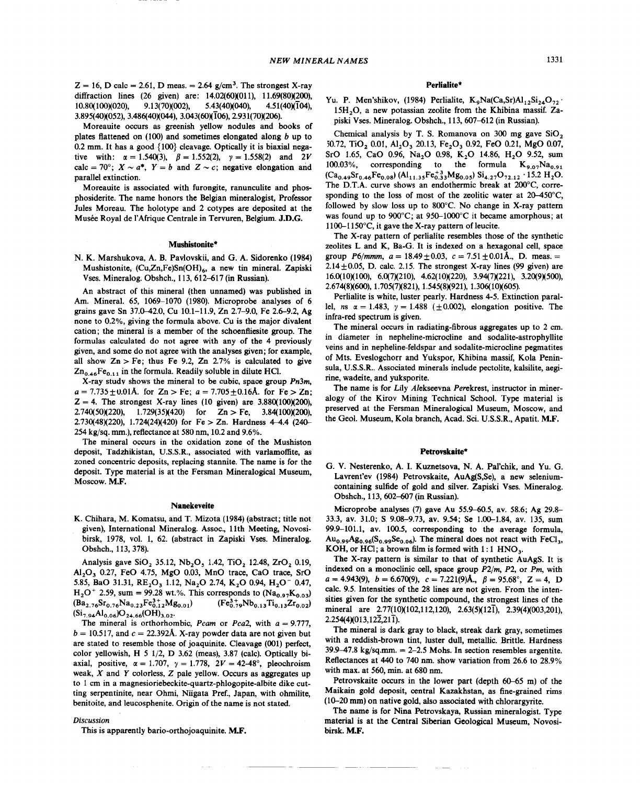$Z = 16$ , D calc = 2.61, D meas. = 2.64 g/cm<sup>3</sup>. The strongest X-ray diffraction lines (26 given) are: 14.02(60)(011), 11.69(80)(200), 10.80(100)(020), 9.13(70)(002), 5.43(40)(040), 4.51(40)(104), 3.895(40)(052),3.486(40)(044), 3.043(60)(106),2.931(70)(206).

Moreauite occurs as greenish yellow nodules and books of plates flattened on (100) and sometimes elongated along *b* up to 0.2 mm. It has a good  $\{100\}$  cleavage. Optically it is biaxial negative with:  $\alpha = 1.540(3)$ ,  $\beta = 1.552(2)$ ,  $\gamma = 1.558(2)$  and 2*V* calc = 70°;  $X \sim a^*$ ,  $Y = b$  and  $Z \sim c$ ; negative elongation and parallel extinction.

Moreauite is associated with furongite, ranunculite and phosphosiderite. The name honors the Belgian mineralogist, Professor Jules Moreau. The holotype and 2 cotypes are deposited at the Musée Royal de l'Afrique Centrale in Tervuren, Belgium. J.D.G.

#### Mushistonite\*

N. K. Marshukova, A. B. Pavlovskii, and G. A. Sidorenko (1984) Mushistonite, (Cu,Zn,Fe)Sn(OH)<sub>6</sub>, a new tin mineral. Zapiski Vses. Mineralog. Obshch., 113,612-617 (in Russian).

An abstract of this mineral (then unnamed) was published in Am. Mineral. 65, 1069-1070 (1980). Microprobe analyses of 6 grains gave Sn 37.0-42.0, Cu 10.1-11.9, Zn 2.7-9.0, Fe 2.6-9.2, Ag none to 0.2%, giving the formula above. Cu is the major divalent cation; the mineral is a member of the schoenfliesite group. The formulas calculated do not agree with any of the 4 previously given, and some do not agree with the analyses given; for example, all show  $Zn > Fe$ ; thus Fe 9.2,  $Zn$  2.7% is calculated to give  $Zn_{0.46}Fe_{0.11}$  in the formula. Readily soluble in dilute HCl.

X-ray studv shows the mineral to be cubic, space group *Pn3m,*  $a = 7.735 \pm 0.01$ A. for  $Z_n > Fe$ ;  $a = 7.705 \pm 0.16$ A. for Fe  $> Z_n$  $Z = 4$ . The strongest X-ray lines (10 given) are  $3.880(100)(200)$ 2.740(50)(220), 1.729(35)(420) for  $Zn > Fe$ , 3.84(100)(200),  $2.730(48)(220)$ ,  $1.724(24)(420)$  for Fe > Zn. Hardness 4-4.4 (240-254 kg/sq. mm.), reflectance at 580 nm, 10.2 and 9.6%.

The mineral occurs in the oxidation zone of the Mushiston deposit, Tadzhikistan, U.S.S.R., associated with varlamoffite, as zoned concentric deposits, replacing stannite. The name is for the deposit. Type material is at the Fersman Mineralogical Museum, Moscow. M.F.

## Nanekeveite

K. Chihara, M. Komatsu, and T. Mizota (1984) (abstract; title not given), International Mineralog. Assoc., 11th Meeting, Novosibirsk, 1978, vol. 1, 62. (abstract in Zapiski Vses. Mineralog. Obshch., 113, 378).

Analysis gave SiO<sub>2</sub> 35.12, Nb<sub>2</sub>O<sub>3</sub> 1.42, TiO<sub>2</sub> 12.48, ZrO<sub>2</sub> 0.19,  $Al_2O_3$  0.27, FeO 4.75, MgO 0.03, MnO trace, CaO trace, SrO 5.85, BaO 31.31,  $RE_2O_3$  1.12, Na<sub>2</sub>O 2.74, K<sub>2</sub>O 0.94, H<sub>2</sub>O<sup>-</sup> 0.47,  $H_2O^+$  2.59, sum = 99.28 wt.%. This corresponds to (Na<sub>0.97</sub>K<sub>0.03</sub>)  $(Ba_{2.76}Sr_{0.76}Na_{0.23}Fe_{0.12}^{3+}Mg_{0.01})$   $(Fe_{0.79}^{3+}Nb_{0.13}Ti_{0.13}Zr_{0.02})$  $(Si_{7.94}Al_{0.06})O_{24.66}(OH)_{3.02}$ .

The mineral is orthorhombic, *Pcam* or *Pca*2, with  $a = 9.777$  $b = 10.517$ , and  $c = 22.392$ Å. X-ray powder data are not given bu are stated to resemble those of joaquinite. Cleavage (001) perfect, color yellowish, H 5 1/2, D 3.62 (meas), 3.87 (calc). Optically biaxial, positive,  $\alpha = 1.707$ ,  $\gamma = 1.778$ ,  $2V = 42-48^{\circ}$ , pleochrois weak, *X* and Y colorless, Z pale yellow. Occurs as aggregates up to 1 cm in a magnesioriebeckite-quartz-phlogopite-albite dike cutting serpentinite, near Ohmi, Niigata Pref., Japan, with ohmilite, benitoite, and leucosphenite. Origin of the name is not stated.

#### *Discussion*

This is apparently bario-orthojoaquinite. M.F.

#### Perlialite\*

Yu. P. Men'shikov, (1984) Perlialite,  $K_9Na(Ca, Sr)Al_{12}Si_{24}O_{72}$ . 15H<sub>2</sub>O, a new potassian zeolite from the Khibina massif. Zapiski Vses. Mineralog. Obshch., 113,607-612 (in Russian).

Chemical analysis by T. S. Romanova on 300 mg gave  $SiO<sub>2</sub>$ 50.72, TiO, 0.01, Al<sub>2</sub>O<sub>3</sub> 20.13, Fe<sub>2</sub>O<sub>3</sub> 0.92, FeO 0.21, MgO 0.07, SrO 1.65, CaO 0.96, Na<sub>2</sub>O 0.98, K<sub>2</sub>O 14.86, H<sub>2</sub>O 9.52, sum 100.03%, corresponding to the formula  $K_{9.07}Na_{0.91}$  $(Ca_{0.49}Sr_{0.46}Fe_{0.08})$   $(Al_{11.35}Fe_{0.33}^{+3}Mg_{0.05})$   $Si_{4.27}O_{72.12}$   $\cdot$  15.2 H<sub>2</sub>O. The D.T.A. curve shows an endothermic break at 200°C, corresponding to the loss of most of the zeolitic water at 20-450°C, followed by slow loss up to 800°C. No change in X-ray pattern was found up to 900°C; at 950-1000°C it became amorphous; at 1100-1 150°C, it gave the X-ray pattern of leucite.

The X-ray pattern of perlialite resembles those of the synthetic zeolites Land K, Ba-G. It is indexed on a hexagonal cell, space group *P6/mmm,*  $a = 18.49 \pm 0.03$ ,  $c = 7.51 \pm 0.01$ Å., D. meas. = 2.14 $\pm$ 0.05, D. calc. 2.15. The strongest X-ray lines (99 given) are 16.0(10)(100), 6.0(7)(210), 4.62(10)(220), 3.94(7)(221), 3.20(9)(500), 2.674(8)(600), 1.705(7)(821), 1.545(8)(921), 1.306(10)(605).

Perlialite is white, luster pearly. Hardness 4-5. Extinction parallel, *ns*  $\alpha = 1.483$ ,  $\gamma = 1.488$  ( $\pm 0.002$ ), elongation positive. The infra-red spectrum is given.

The mineral occurs in radiating-fibrous aggregates up to 2 em. in diameter in nepheline-microcline and sodalite-astrophyllite veins and in nepheline-feldspar and sodalite-microcline pegmatites of Mts. Eveslogchorr and Yukspor, Khibina massif, Kola Peninsula, U.S.S.R.. Associated minerals include pectolite, kalsilite, aegirine, wadeite, and yuksporite.

The name is for Lily Alekseevna Perekrest, instructor in mineralogy of the Kirov Mining Technical School. Type material is preserved at the Fersman Mineralogical Museum, Moscow, and the Geol. Museum, Kola branch, Acad. Sci. U.S.S.R., Apatit. M.F.

#### Petrovskaite\*

G. V. Nesterenko, A. I. Kuznetsova, N. A. Pal'chik, and Yu. G. Lavrent'ev (1984) Petrovskaite, AuAg(S,Se), a new seleniumcontaining sulfide of gold and silver. Zapiski Vses. Mineralog. Obshch., 113, 602-607 (in Russian).

Microprobe analyses (7) gave Au 55.9-60.5, av. 58.6; Ag 29.8-33.3, av. 31.0; S 9.08-9.73, av. 9.54; Se 1.00-1.84, av. 135, sum 99.9-101.1, av. 100.5, corresponding to the average formula,  $Au_{0.99}Ag_{0.96}(S_{0.99}Se_{0.06})$ . The mineral does not react with FeCl<sub>3</sub>, KOH, or HCI; a brown film is formed with  $1:1$  HNO<sub>3</sub>.

The X-ray pattern is similar to that of synthetic AuAgS. It is indexed on a monoclinic cell, space group *P2/m, P2,* or *Pm,* with  $a = 4.943(9), b = 6.670(9), c = 7.221(9)$ Å.,  $\beta = 95.68^{\circ}, \mathbb{Z} = 4, \mathbb{C}$ calc. 9.5. Intensities of the 28 lines are not given. From the intensities given for the synthetic compound, the strongest lines of the mineral are  $2.77(10)(102,112,120)$ ,  $2.63(5)(12\bar{1})$ ,  $2.39(4)(003,201)$ ,  $2.254(4)(013,12\overline{2},21\overline{1}).$ 

The mineral is dark gray to black, streak dark gray, sometimes with a reddish-brown tint, luster dull, metallic. Brittle. Hardness  $39.9-47.8$  kg/sq.mm. = 2-2.5 Mohs. In section resembles argentite. Reflectances at 440 to 740 nm. show variation from 26.6 to 28.9% with max. at 560, min. at 680 nm.

Petrovskaite occurs in the lower part (depth 60-65 m) of the Maikain gold deposit, central Kazakhstan, as fine-grained rims (10-20 mm) on native gold, also associated with chlorargyrite.

The name is for Nina Petrovskaya, Russian mineralogist. Type material is at the Central Siberian Geological Museum, Novosibirsk. M.F.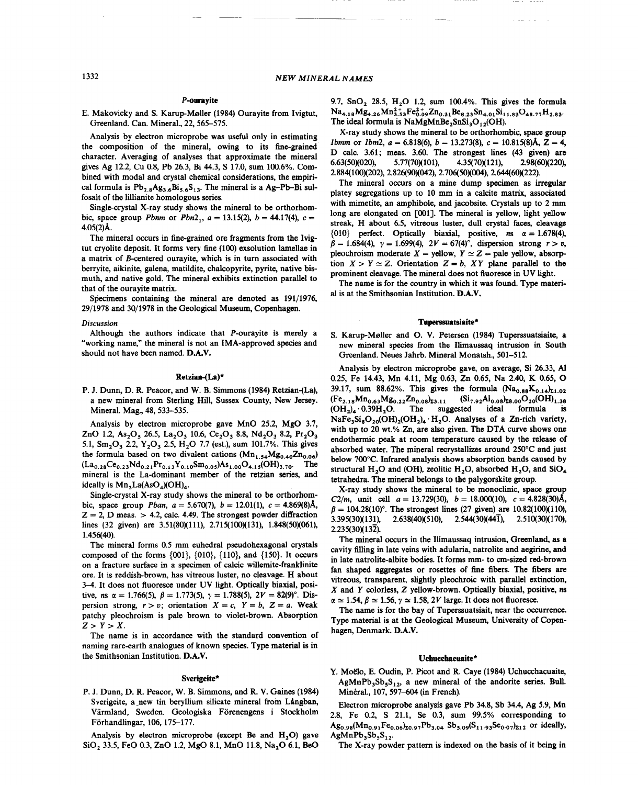## P-ourayite

E. Makovicky and S. Karup-M0ller (1984) Ourayite from Ivigtut, Greenland. Can. Mineral., 22, 565-575.

Analysis by electron microprobe was useful only in estimating the composition of the mineral, owing to its fine-grained character. Averaging of analyses that approximate the mineral gives Ag 12.2, Cu 0.8, Pb 26.3, Bi 44.3, S 17.0, sum 100.6%. Combined with modal and crystal chemical considerations, the empirical formula is  $Pb_{2.8}Ag_{3.6}Bi_{5.6}S_{13}$ . The mineral is a Ag-Pb-Bi sulfosalt of the lilIianite homologous series.

Single-crystal X-ray study shows the mineral to be orthorhombic, space group *Pbnm* or  $Pbn2_1$ ,  $a = 13.15(2)$ ,  $b = 44.17(4)$ ,  $c =$ 4.05(2)A.

The mineral occurs in fine-grained ore fragments from the Ivigtut cryolite deposit. It forms very fine (100) exsolution lamellae in a matrix of B-centered ourayite, which is in turn associated with berryite, aikinite, galena, matildite, chalcopyrite, pyrite, native bismuth, and native gold. The mineral exhibits extinction parallel to that of the ourayite matrix.

Specimens containing the mineral are denoted as 191/1976, 29/1978 and 30/1978 in the Geological Museum, Copenhagen.

## *Discussion*

Although the authors indicate that P-ourayite is merely a "working name," the mineral is not an IMA-approved species and should not have been named. D.A.V.

## Retzian-(La)\*

P. J. Dunn, D. R. Peacor, and W. B. Simmons (1984) Retzian-(La), a new mineral from Sterling Hill, Sussex County, New Jersey. Mineral. Mag., 48, 533-535.

Analysis by electron microprobe gave MnO 25.2, MgO 3.7, ZnO 1.2, As<sub>2</sub>O<sub>3</sub> 26.5, La<sub>2</sub>O<sub>3</sub> 10.6, Ce<sub>2</sub>O<sub>3</sub> 8.8, Nd<sub>2</sub>O<sub>3</sub> 8.2, Pr<sub>2</sub>O<sub>3</sub> 5.1,  $\text{Sm}_2\text{O}_3$  2.2,  $\text{Y}_2\text{O}_3$  2.5,  $\text{H}_2\text{O}$  7.7 (est.), sum 101.7%. This gives the formula based on two divalent cations  $(Mn_{1.54}Mg_{0.40}Zn_{0.06})$  $(La_{0.28}Ce_{0.23}Nd_{0.21}Pr_{0.13}Y_{0.10}Sm_{0.05})As_{1.00}O_{4.15}(OH)_{3.70}$ . The mineral is the La-dominant member of the retzian series, and ideally is  $Mn_2La(AsO<sub>4</sub>)(OH)<sub>4</sub>$ .

Single-crystal X-ray study shows the mineral to be orthorhombic, space group *Pban,*  $a = 5.670(7)$ ,  $b = 12.01(1)$ ,  $c = 4.869(8)$ Å,  $Z = 2$ , D meas. > 4.2, calc. 4.49. The strongest powder diffraction lines (32 given) are 3.51(80)(111), 2.715(100)(131), 1.848(50)(061), 1.456(40).

The mineral forms 0.5 mm euhedral pseudohexagonal crystals composed of the forms  $\{001\}$ ,  $\{010\}$ ,  $\{110\}$ , and  $\{150\}$ . It occurs on a fracture surface in a specimen of calcic willemite-franklinite ore. It is reddish-brown, has vitreous luster, no cleavage. H about 3-4. It does not fluoresce under UV light. Optically biaxial, positive, *ns*  $\alpha = 1.766(5)$ ,  $\beta = 1.773(5)$ ,  $\gamma = 1.788(5)$ ,  $2V = 82(9)^\circ$ . Dispersion strong,  $r > v$ ; orientation  $X = c$ ,  $Y = b$ ,  $Z = a$ . Weak patchy pleochroism is pale brown to violet-brown. Absorption  $Z > Y > X$ .

The name is in accordance with the standard convention of naming rare-earth analogues of known species. Type material is in the Smithsonian Institution. D.A.V.

#### Sverigeite\*

P. J. Dunn, D. R. Peacor, W. B. Simmons, and R. V. Gaines (1984) Sverigeite, a\_new tin beryllium silicate mineral from Långban, Värmland, Sweden. Geologiska Förenengens i Stockholm Forhandlingar, 106, 175-177.

Analysis by electron microprobe (except Be and  $H_2O$ ) gave SiO<sub>2</sub> 33.5, FeO 0.3, ZnO 1.2, MgO 8.1, MnO 11.8, Na<sub>2</sub>O 6.1, BeO 9.7,  $SnO<sub>2</sub>$  28.5,  $H<sub>2</sub>O$  1.2, sum 100.4%. This gives the formula  $Na_{4.18}Mg_{4.26}Mn_{3.53}^{2+}Fe_{0.09}^{2+}Zn_{0.31}Be_{8.23}Sn_{4.01}Si_{11.83}O_{48.77}H_{2.83}$ The ideal formula is  $NaMgMnBe<sub>2</sub>SnSi<sub>3</sub>O<sub>12</sub>(OH).$ 

X-ray study shows the mineral to be orthorhombic, space group *Ibmm* or *Ibm2,*  $a = 6.818(6)$ ,  $b = 13.273(8)$ ,  $c = 10.815(8)$ Å,  $Z = 4$ , D calc. 3.61; meas. 3.60. The strongest lines (43 given) are 6.63(50)(020), 5.77(70)(101), 4.35(70)(121), 2.98(60)(220), 2.884(100)(202),2.826(90)(042),2.706(50)(004),2.644(60)(222).

The mineral occurs on a mine dump specimen as irregular platey segregations up to 10 mm in a calcite matrix, associated with mimetite, an amphibole, and jacobsite. Crystals up to 2 mm long are elongated on [001]. The mineral is yellow, light yellow streak, H about 6.5, vitreous luster, dull crystal faces, cleavage {010} perfect. Optically biaxial, positive,  $n s$   $\alpha = 1.678(4)$ ,  $\beta = 1.684(4), \gamma = 1.699(4), 2V = 67(4)^\circ,$  dispersion strong  $r > v$ , pleochroism moderate  $X =$  yellow,  $Y \simeq Z =$  pale yellow, absorp tion  $X > Y \simeq Z$ . Orientation  $Z = b$ , XY plane parallel to the prominent cleavage. The mineral does not fluoresce in UV light

The name is for the country in which it was found. Type material is at the Smithsonian Institution. D.A.V.

## Tuperssuatsiaite\*

S. Karup-M0ller and 0. V. Petersen (1984) Tuperssuatsiaite, a new mineral species from the Ilimaussaq intrusion in South Greenland. Neues Jahrb. Mineral Monatsh., 501-512.

Analysis by electron microprobe gave, on average, Si 26.33, A1 0.25, Fe 14.43, Mn 4.11, Mg 0.63, Zn 0.65, Na 2.40, K 0.65, 39.17, sum 88.62%. This gives the formula  $(Na_{0.88}K_{0.14})_{21.0}$  $(F_{2,18}Mn_{0.63}Mg_{0.22}Zn_{0.08}k_{3.11}$   $(Si_{7.92}Al_{0.08}k_{5.00}O_{20}(OH)_{1.38}$ <br>(OH<sub>2</sub>)<sub>4</sub> 0.39H<sub>2</sub>O. The suggested ideal formula is  $(OH<sub>2)</sub><sub>4</sub> \cdot 0.39H<sub>2</sub>O$ . The suggested ideal formula is  $NaFe<sub>3</sub>Si<sub>8</sub>O<sub>20</sub>(OH)<sub>2</sub>(OH<sub>2</sub>)<sub>4</sub>·H<sub>2</sub>O.$  Analyses of a Zn-rich variety, with up to 20 wt.% Zn, are also given. The DTA curve shows one endothermic peak at room temperature caused by the release of absorbed water. The mineral recrystallizes around 250°C and just below 700°C. Infrared analysis shows absorption bands caused by structural H<sub>2</sub>O and (OH), zeolitic H<sub>2</sub>O, absorbed H<sub>2</sub>O, and SiO<sub>4</sub> tetrahedra. The mineral belongs to the palygorskite group.

X-ray study shows the mineral to be monoclinic, space group *C2/m,* unit cell  $a = 13.729(30)$ ,  $b = 18.000(10)$ ,  $c = 4.828(30)$ Å,  $\beta = 104.28(10)^\circ$ . The strongest lines (27 given) are  $10.82(100)(110)$  $3.395(30)(131)$ ,  $2.638(40)(510)$ ,  $2.544(30)(44\overline{1})$ ,  $2.510(30)(170)$ ,  $2.235(30)(13\overline{2})$ .

The mineral occurs in the Ilimaussaq intrusion, Greenland, as a cavity filling in late veins with adularia, natrolite and aegirine, and in late natrolite-albite bodies. It forms mm- to cm-sized red-brown fan shaped aggregates or rosettes of fine fibers. The fibers are vitreous, transparent, slightly pleochroic with parallel extinction, *X* and Y colorless, Z yellow-brown. Optically biaxial, positive, *ns*  $\alpha \simeq 1.54, \beta \simeq 1.56, \gamma \simeq 1.58, 2V$  large. It does not fluoresc

The name is for the bay of Tuperssuatsiait, near the occurrence. Type material is at the Geological Museum, University of Copenhagen, Denmark. D.A.V.

## Uchucchacuaite\*

Y. Moëlo, E. Oudin, P. Picot and R. Caye (1984) Uchucchacuaite,  $AgMnPb<sub>3</sub>Sb<sub>5</sub>S<sub>12</sub>$ , a new mineral of the andorite series. Bull. Minéral., 107, 597-604 (in French).

Electron microprobe analysis gave Pb 34.8, Sb 34.4, Ag 5.9, Mn 2.8, Fe 0.2, S 21.1, Se 0.3, sum 99.5% corresponding to  $Ag_{0.98}(Mn_{0.91}Fe_{0.06})_{z0.97}Pb_{3.04}Sb_{5.09}(S_{11.93}Se_{0.07})_{z12}$  or ideally,  $AgMnPb_3Sb_5S_{12}$ .

The X-ray powder pattern is indexed on the basis of it being in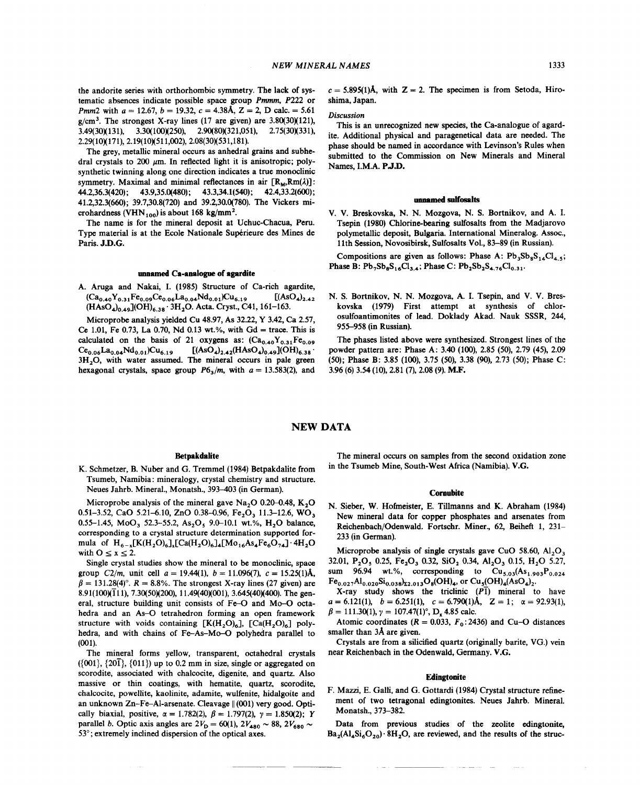the andorite series with orthorhombic symmetry. The lack of systematic absences indicate possible space group *Pmmm, P222* or *Pmm*2 with  $a = 12.67$ ,  $b = 19.32$ ,  $c = 4.38$ Å,  $Z = 2$ , D calc. = 5.61  $g/cm<sup>3</sup>$ . The strongest X-ray lines (17 are given) are 3.80(30)(121), 3.49(30)(131), 3.30(100)(250), 2.90(80)(321,051), 2.75(30)(331), 2.29(10)(171),2.19(10)(511,002),2.08(30)(531,181).

The grey, metallic mineral occurs as anhedral grains and subhedral crystals to 200  $\mu$ m. In reflected light it is anisotropic; polysynthetic twinning along one direction indicates a true monoclinic symmetry. Maximal and minimal reflectances in air  $[R_{\mathbf{M}},Rm(\lambda)]$ : 44.2,36.3(420); 43.9,35.0(480); 43.3,34.1(540); 42.4,33.2(600); 41.2,32.3(660); 39.7,30.8(720) and 39.2,30.0(780). The Vickers microhardness (VHN $_{100}$ ) is about 168 kg/mm<sup>2</sup>.

The name is for the mineral deposit at Uchuc-Chacua, Peru. Type material is at the Ecole Nationale Superieure des Mines de Paris. J.D.G.

#### unnamed Ca-analogue of agardite

A. Aruga and Nakai, I. (1985) Structure of Ca-rich agardite,  $(Ca_{0.40}Y_{0.31}Fe_{0.09}Ce_{0.06}La_{0.04}Nd_{0.01})Cu_{6.19}$  [(AsO<sub>4</sub>)<sub>2</sub>.  $(HAsO<sub>40.49</sub>](OH)<sub>6.38</sub>·3H<sub>2</sub>O. Acta. Cryst., C41, 161–163.$ 

Microprobe analysis yielded Cu 48.97, As 32.22, Y 3.42, Ca 2.57, Ce 1.01, Fe 0.73, La 0.70, Nd 0.13 wt.%, with  $Gd = \text{trace}$ . This is calculated on the basis of 21 oxygens as:  $(Ca_{0.40}Y_{0.31}Fe_{0.09})$  $Ce_{0.06}La_{0.04}Nd_{0.01})Cu_{6.19}$  [(AsO<sub>4</sub>)<sub>2.42</sub>(HAsO<sub>4</sub>)<sub>0.49</sub>](OH)<sub>6.38</sub>  $3H<sub>2</sub>O$ , with water assumed. The mineral occurs in pale green hexagonal crystals, space group  $P6_3/m$ , with  $a = 13.583(2)$ , and

## *Discussion*

This is an unrecognized new species, the Ca-analogue of agardite. Additional physical and paragenetical data are needed. The phase should be named in accordance with Levinson's Rules when submitted to the Commission on New Minerals and Mineral Names, I.M.A. P.J.D.

## unnamed sulfosalts

V. V. Breskovska, N. N. Mozgova, N. S. Bortnikov, and A. I. Tsepin (1980) Chlorine-bearing sulfosalts from the Madjarovo polymetallic deposit, Bulgaria. International Mineralog. Assoc., 11th Session, Novosibirsk, Sulfosalts Vol., 83-89 (in Russian).

Compositions are given as follows: Phase A:  $Pb_3Sb_8S_{14}Cl_{4.5}$ ; Phase B:  $Pb_7Sb_8S_{16}Cl_{3,4}$ ; Phase C:  $Pb_2Sb_2S_{4,76}Cl_{0,31}$ .

N. S. Bortnikov, N. N. Mozgova, A. I. Tsepin, and V. V. Breskovska (1979) First attempt at synthesis of chlorosulfoantimonites of lead. Doklady Akad. Nauk SSSR, 244, 955-958 (in Russian).

The phases listed above were synthesized. Strongest lines of the powder pattern are: Phase A: 3.40 (100), 2.85 (50), 2.79 (45), 2.09 (50); Phase B: 3.85 (100), 3.75 (50), 3.38 (90), 2.73 (50); Phase C: 3.96 (6) 3.54 (10),2.81 (7), 2.08 (9). M.F.

## NEW DATA

## Betpakdalite

K. Schmetzer, B. Nuber and G. Tremmel (1984) Betpakdalite from Tsumeb, Namibia: mineralogy, crystal chemistry and structure. Neues Jahrb. Mineral., Monatsh., *393-403* (in German).

Microprobe analysis of the mineral gave  $Na<sub>2</sub>O$  0.20-0.48, K<sub>2</sub>O 0.51-3.52, CaO 5.21-6.10, ZnO 0.38-0.96, Fe<sub>2</sub>O<sub>3</sub> 11.3-12.6, WO<sub>3</sub> 0.55-1.45, MoO<sub>3</sub> 52.3-55.2, As<sub>2</sub>O<sub>5</sub> 9.0-10.1 wt.%, H<sub>2</sub>O balance, corresponding to a crystal structure determination supported formula of  $H_{6-x}[K(H_2O)_6]_x[Ca(H_2O)_6]_4[Mo_{16}As_4Fe_6O_{74}] \cdot 4H_2O$ with  $0 \le x \le 2$ 

Single crystal studies show the mineral to be monoclinic, space group *C2/m*, unit cell  $a = 19.44(1)$ ,  $b = 11.096(7)$ ,  $c = 15.25(1)$ Å,  $\beta = 131.28(4)$ °.  $R = 8.8\%$ . The strongest X-ray lines (27 given) are 8.91(100)(111), 7.30(50)(200), 11.49(40)(001), 3.645(40)(400). The general, structure building unit consists of Fe-O and Mo-O octahedra and an As-O tetrahedron forming an open framework structure with voids containing  $[K(H_2O)_6]$ ,  $[Ca(H_2O)_6]$  polyhedra, and with chains of Fe-As-Mo-O polyhedra parallel to (001).

The mineral forms yellow, transparent, octahedral crystals  $({001}, {201}, {011})$  up to 0.2 mm in size, single or aggregated on scorodite, associated with chalcocite, digenite, and quartz. Also massive or thin coatings, with hematite, quartz, scorodite, chalcocite, powellite, kaolinite, adamite, wulfenite, hidalgoite and an unknown Zn-Fe-Al-arsenate. Cleavage  $\parallel$  (001) very good. Optically biaxial, positive,  $\alpha = 1.782(2)$ ,  $\beta = 1.797(2)$ ,  $\gamma = 1.850(2)$ ; Y parallel *b*. Optic axis angles are  $2V_D = 60(1)$ ,  $2V_{480} \sim 88$ ,  $2V_{680} \sim$ 53°; extremely inclined dispersion of the optical axes.

 $- -$ 

The mineral occurs on samples from the second oxidation zone in the Tsumeb Mine, South-West Africa (Namibia). V.G.

## Cornubite

N. Sieber, W. Hofmeister, E. Tillmanns and K. Abraham (1984) New mineral data for copper phosphates and arsenates from Reichenbach/Odenwald. Fortschr. Miner., 62, Beiheft 1, 231- 233 (in German).

Microprobe analysis of single crystals gave CuO 58.60,  $A1_2O_3$ 32.01, P<sub>2</sub>O<sub>5</sub> 0.25, Fe<sub>2</sub>O<sub>3</sub> 0.32, SiO<sub>2</sub> 0.34, Al<sub>2</sub>O<sub>3</sub> 0.15, H<sub>2</sub>O 5.27, sum 96.94 wt.%, corresponding to  $\text{Cu}_{5.03}(\text{As}_{1.903}P_{0.024})$  $Fe_{0.027}Al_{0.020}Si_{0.038}l_{\Sigma2.013}O_8(OH)_4$ , or Cu<sub>s</sub>(OH)<sub>4</sub>(AsO<sub>4</sub>)<sub>2</sub>.

X-ray study shows the triclinic *(PI)* mineral to have  $a = 6.121(1), b = 6.251(1), c = 6.790(1)$ Å, Z = 1;  $\alpha = 92.93(1),$  $\beta = 111.30(1)$ ,  $\gamma = 107.47(1)$ °, D<sub>x</sub> 4.85 calc.

Atomic coordinates  $(R = 0.033, F_0:2436)$  and Cu-O distance smaller than 3A are given.

Crystals are from a silicified quartz (originally barite, VG.) vein near Reichenbach in the Odenwald, Germany. V.G.

#### **Edingtonite**

F. Mazzi, E. Galli, and G. Gottardi (1984) Crystal structure refinement of two tetragonal edingtonites. Neues Jahrb. Mineral. Monatsh., 373-382.

Data from previous studies of the zeolite edingtonite,  $Ba_2(Al_4Si_6O_{20})$ .  $8H_2O$ , are reviewed, and the results of the struc-

---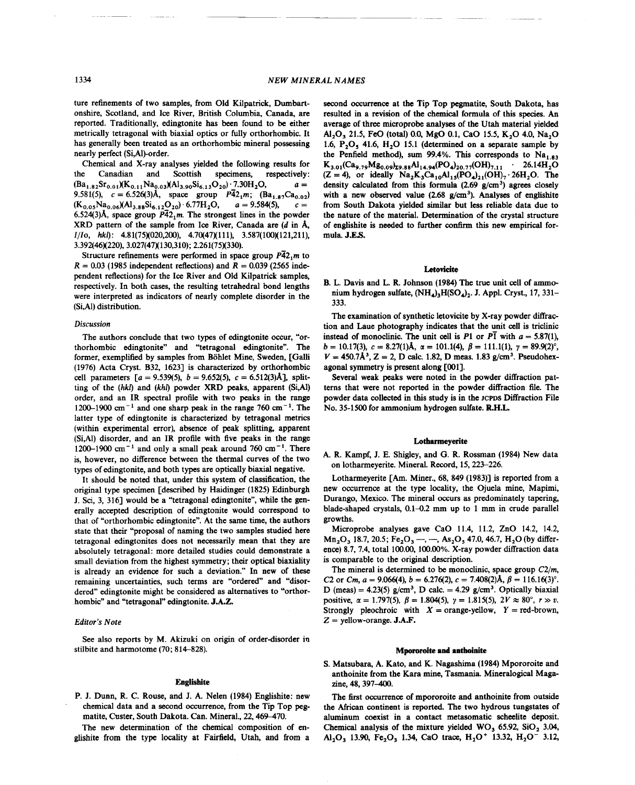ture refinements of two samples, from Old Kilpatrick, Dumbartonshire, Scotland, and Ice River, British Columbia, Canada, are reported. Traditionally, edingtonite has been found to be either metrically tetragonal with biaxial optics or fully orthorhombic. It has generally been treated as an orthorhombic mineral possessing nearly perfect (Si,AI)-order.

Chemical and X-ray analyses yielded the following results for the Canadian and Scottish specimens, respectively:  $(Ba_{1.82}Sr_{0.01})(K_{0.11}Na_{0.03})(Al_{3.90}Si_{6.13}O_{20})$ <sup>-</sup>7.30H<sub>2</sub>O, *a* = 9.581(5),  $c = 6.526(3)$ Å, space group  $\overline{P42_1m}$ ;  $(Ba_{1.87}Ca_{0.02})$  $(K_{0.05}Na_{0.06})(Al_{3.88}Si_{6.12}O_{20}).6.77H_2O,$  $a = 9.584(5)$ ,  $c =$ 6.524(3)Å, space group  $\overline{P_4}2_1$ m. The strongest lines in the powder XRD pattern of the sample from Ice River, Canada are *(d* in A, *1110, hkl):* 4.81(75)(020,200), 4.70(47)(111), 3.587(100)(121,211), 3.392(46)(220),3.027(47)(130,310); 2.261(75)(330).

Structure refinements were performed in space group  $\overline{P_4}2_1$ m to  $R = 0.03$  (1985 independent reflections) and  $R = 0.039$  (2565 independent reflections) for the Ice River and Old Kilpatrick samples, respectively. In both cases, the resulting tetrahedral bond lengths were interpreted as indicators of nearly complete disorder in the (Si,AI) distribution.

## *Discussion*

The authors conclude that two types of edingtonite occur, "orthorhombic edingtonite" and "tetragonal edingtonite". The former, exemplified by samples from Bohlet Mine, Sweden, [Galli (1976) Acta Cryst. B32, 1623] is characterized by orthorhombic cell parameters  $[a = 9.539(5), b = 9.652(5), c = 6.512(3)$ Å], splitting of the *(hkl)* and *(khl)* powder XRD peaks, apparent (Si,AI) order, and an IR spectral profile with two peaks in the range 1200-1900 cm<sup>-1</sup> and one sharp peak in the range 760 cm<sup>-1</sup>. The latter type of edingtonite is characterized by tetragonal metrics (within experimental error), absence of peak splitting, apparent (Si,AI) disorder, and an IR profile with five peaks in the range 1200-1900 cm<sup>-1</sup> and only a small peak around 760 cm<sup>-1</sup>. There is, however, no difference between the thermal curves of the two types of edingtonite, and both types are optically biaxial negative.

It should be noted that, under this system of classification, the original type specimen [described by Haidinger (1825) Edinburgh J. Sci, 3, 316] would be a "tetragonal edingtonite", while the generally accepted description of edingtonite would correspond to that of "orthorhombic edingtonite". At the same time, the authors state that their "proposal of naming the two samples studied here tetragonal edingtonites does not necessarily mean that they are absolutely tetragonal: more detailed studies could demonstrate a small deviation from the highest symmetry; their optical biaxiality is already an evidence for such a deviation." In new of these remaining uncertainties, such terms are "ordered" and "disordered" edingtonite might be considered as alternatives to "orthorhombic" and "tetragonal" edingtonite. J.A.Z.

#### *Editor's Note*

See also reports by M. Akizuki on origin of order-disorder in stilbite and harmotome (70; 814-828).

## Englisbite

P. J. Dunn, R. C. Rouse, and J. A. Nelen (1984) Englishite: new chemical data and a second occurrence, from the Tip Top pegmatite, Custer, South Dakota. Can. Mineral., 22, 469-470.

The new determination of the chemical composition of englishite from the type locality at Fairfield, Utah, and from a

second occurrence at the Tip Top pegmatite, South Dakota, has resulted in a revision of the chemical formula of this species. An average of three microprobe analyses of the Utah material yielded Al<sub>2</sub>O<sub>3</sub> 21.5, FeO (total) 0.0, MgO 0.1, CaO 15.5, K<sub>2</sub>O 4.0, Na<sub>2</sub>O 1.6, P<sub>2</sub>O<sub>s</sub> 41.6, H<sub>2</sub>O 15.1 (determined on a separate sample by the Penfield method), sum 99.4%. This corresponds to  $Na<sub>1.83</sub>$  $K_{3.01}(Ca_{9.79}Mg_{0.09})_{Z9.88}Al_{14.94}(PO_4)_{20.77}(OH)_{7.11}$  . 26.14 $H_2O$  $(Z = 4)$ , or ideally  $Na_2K_3Ca_{10}Al_{15}(PO_4)_{21}(OH)_7$ . 26H<sub>2</sub>O. The density calculated from this formula  $(2.69 \text{ g/cm}^3)$  agrees closely with a new observed value (2.68  $g/cm^3$ ). Analyses of englishite from South Dakota yielded similar but less reliable data due to the nature of the material. Determination of the crystal structure of englishite is needed to further confirm this new empirical formula. J.E.s.

### **Letovicite**

B. L. Davis and L. R. Johnson (1984) The true unit cell of ammonium hydrogen sulfate,  $(NH<sub>4</sub>)$ <sub>3</sub>H(SO<sub>4</sub>)<sub>2</sub>. J. Appl. Cryst., 17, 331-333.

The examination of synthetic letovicite by X-ray powder diffraction and Laue photography indicates that the unit cell is triclinic instead of monoclinic. The unit cell is  $P1$  or  $P1$  with  $a = 5.87(1)$ , *b* = 10.17(3), *c* = 8.27(1)**Å**,  $\alpha$  = 101.1(4),  $\beta$  = 111.1(1),  $\gamma$  = 89.9(2)<sup>o</sup>,  $V = 450.7\text{\AA}^3$ ,  $Z = 2$ , D calc. 1.82, D meas. 1.83 g/cm<sup>3</sup>. Pseudohex agonal symmetry is present along [001].

Several weak peaks were noted in the powder diffraction patterns that were not reported in the powder diffraction file. The powder data collected in this study is in the JCPDS Diffraction File No. 35-1500 for ammonium hydrogen sulfate. R.H.L.

### Lotbarmeyerite

A. R. Kampf, J. E. Shigley, and G. R. Rossman (1984) New data on lotharmeyerite. Mineral. Record. 15, 223-226.

Lotharmeyerite [Am. Miner., 68, 849 (1983)] is reported from a new occurrence at the type locality, the Ojuela mine, Mapimi, Durango, Mexico. The mineral occurs as predominately tapering, blade-shaped crystals,  $0.1-0.2$  mm up to 1 mm in crude parallel growths.

Microprobe analyses gave CaO 11.4, 11.2, ZnO 14.2, 14.2,  $Mn<sub>2</sub>O<sub>3</sub>$  18.7, 20.5; Fe<sub>2</sub>O<sub>3</sub> --, --, As<sub>2</sub>O<sub>5</sub> 47.0, 46.7, H<sub>2</sub>O (by difference) 8.7, 7.4, total 100.00, 100.00%. X-ray powder diffraction data is comparable to the original description.

The mineral is determined to be monoclinic, space group  $C2/m$ , C2 or *Cm,*  $a = 9.066(4)$ ,  $b = 6.276(2)$ ,  $c = 7.408(2)$ Å,  $\beta = 116.16(3)$ °. D (meas) =  $4.23(5)$  g/cm<sup>3</sup>, D calc. =  $4.29$  g/cm<sup>3</sup>. Optically biaxia positive,  $\alpha = 1.797(5)$ ,  $\beta = 1.804(5)$ ,  $\gamma = 1.815(5)$ ,  $2V \approx 80^{\circ}$ ,  $r \gg v$ . Strongly pleochroic with  $X = \text{orange-yellow}$ ,  $Y = \text{red-brown}$ ,  $Z =$  yellow-orange. **J.A.F** 

## **Mpororoite and antboinite**

S. Matsubara, A. Kato, and K. Nagashima (1984) Mpororoite and anthoinite from the Kara mine, Tasmania. Mineralogical Magazine, 48, 397-400.

The first occurrence of mpororoite and anthoinite from outside the African continent is reported. The two hydrous tungstates of aluminum coexist in a contact metasomatic scheelite deposit. Chemical analysis of the mixture yielded  $WO_3$  65.92, SiO<sub>2</sub> 3.04, Al<sub>2</sub>O<sub>3</sub> 13.90, Fe<sub>2</sub>O<sub>3</sub> 1.34, CaO trace, H<sub>2</sub>O<sup>+</sup> 13.32, H<sub>2</sub>O<sup>-</sup> 3.12,